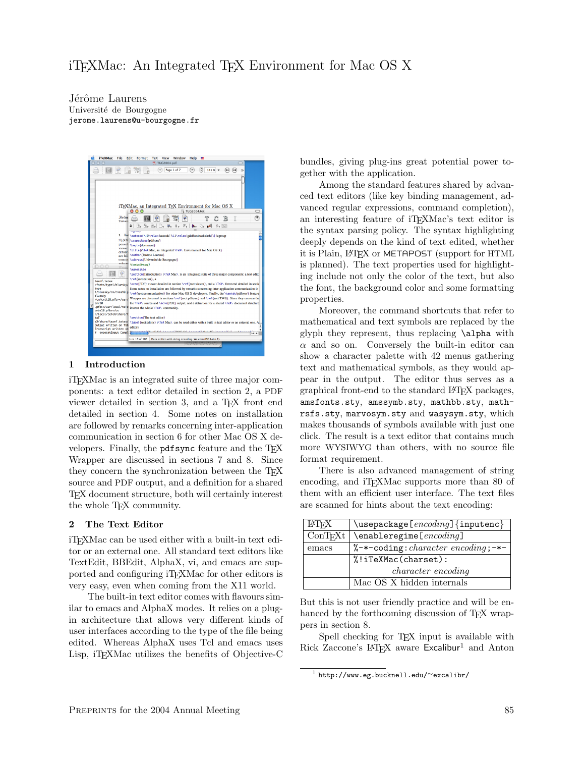Jérôme Laurens Université de Bourgogne jerome.laurens@u-bourgogne.fr



#### 1 Introduction

iTEXMac is an integrated suite of three major components: a text editor detailed in section 2, a PDF viewer detailed in section 3, and a T<sub>E</sub>X front end detailed in section 4. Some notes on installation are followed by remarks concerning inter-application communication in section 6 for other Mac OS X developers. Finally, the pdf sync feature and the T<sub>F</sub>X Wrapper are discussed in sections 7 and 8. Since they concern the synchronization between the T<sub>E</sub>X source and PDF output, and a definition for a shared TEX document structure, both will certainly interest the whole T<sub>F</sub>X community.

### The Text Editor

iTEXMac can be used either with a built-in text editor or an external one. All standard text editors like TextEdit, BBEdit, AlphaX, vi, and emacs are supported and configuring iTEXMac for other editors is very easy, even when coming from the X11 world.

The built-in text editor comes with flavours similar to emacs and AlphaX modes. It relies on a plugin architecture that allows very different kinds of user interfaces according to the type of the file being edited. Whereas AlphaX uses Tcl and emacs uses Lisp, iTEXMac utilizes the benefits of Objective-C

bundles, giving plug-ins great potential power together with the application.

Among the standard features shared by advanced text editors (like key binding management, advanced regular expressions, command completion), an interesting feature of iT<sub>EX</sub>Mac's text editor is the syntax parsing policy. The syntax highlighting deeply depends on the kind of text edited, whether it is Plain, LAT<sub>F</sub>X or METAPOST (support for HTML) is planned). The text properties used for highlighting include not only the color of the text, but also the font, the background color and some formatting properties.

Moreover, the command shortcuts that refer to mathematical and text symbols are replaced by the glyph they represent, thus replacing \alpha with  $\alpha$  and so on. Conversely the built-in editor can show a character palette with 42 menus gathering text and mathematical symbols, as they would appear in the output. The editor thus serves as a graphical front-end to the standard LATEX packages, amsfonts.sty, amssymb.sty, mathbb.sty, mathrsfs.sty, marvosym.sty and wasysym.sty, which makes thousands of symbols available with just one click. The result is a text editor that contains much more WYSIWYG than others, with no source file format requirement.

There is also advanced management of string encoding, and iT<sub>E</sub>XMac supports more than 80 of them with an efficient user interface. The text files are scanned for hints about the text encoding:

| LATFX   | $\texttt{{\char'134}uses[encoding]{\char'134}$ |  |
|---------|------------------------------------------------|--|
| ConTrXt | $\text{Penable regime} [encoding]$             |  |
| emacs   | %-*-coding: character encoding;-*-             |  |
|         | %!iTeXMac(charset):                            |  |
|         | <i>character</i> encoding                      |  |
|         | Mac OS X hidden internals                      |  |

But this is not user friendly practice and will be enhanced by the forthcoming discussion of T<sub>EX</sub> wrappers in section 8.

Spell checking for T<sub>E</sub>X input is available with Rick Zaccone's LAT<sub>F</sub>X aware Excalibur<sup>1</sup> and Anton

<sup>1</sup> http://www.eg.bucknell.edu/∼excalibr/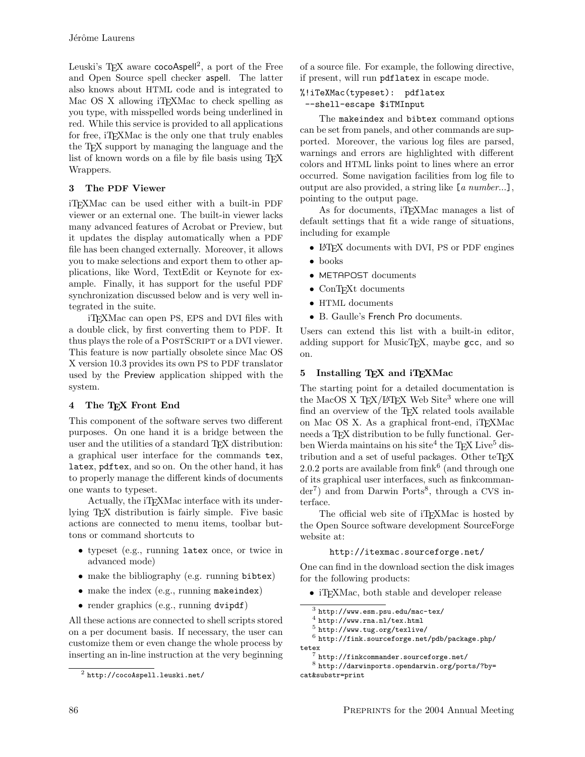Leuski's TEX aware  $\mathsf{cocoAs}{\sf pell}^2,$  a port of the Free and Open Source spell checker aspell. The latter also knows about HTML code and is integrated to Mac OS X allowing iT<sub>E</sub>XMac to check spelling as you type, with misspelled words being underlined in red. While this service is provided to all applications for free, iT<sub>E</sub>XMac is the only one that truly enables the TEX support by managing the language and the list of known words on a file by file basis using T<sub>E</sub>X Wrappers.

# 3 The PDF Viewer

iTEXMac can be used either with a built-in PDF viewer or an external one. The built-in viewer lacks many advanced features of Acrobat or Preview, but it updates the display automatically when a PDF file has been changed externally. Moreover, it allows you to make selections and export them to other applications, like Word, TextEdit or Keynote for example. Finally, it has support for the useful PDF synchronization discussed below and is very well integrated in the suite.

iTEXMac can open PS, EPS and DVI files with a double click, by first converting them to PDF. It thus plays the role of a POSTSCRIPT or a DVI viewer. This feature is now partially obsolete since Mac OS X version 10.3 provides its own PS to PDF translator used by the Preview application shipped with the system.

# 4 The TEX Front End

This component of the software serves two different purposes. On one hand it is a bridge between the user and the utilities of a standard T<sub>EX</sub> distribution: a graphical user interface for the commands tex, latex, pdftex, and so on. On the other hand, it has to properly manage the different kinds of documents one wants to typeset.

Actually, the iT<sub>E</sub>XMac interface with its underlying TEX distribution is fairly simple. Five basic actions are connected to menu items, toolbar buttons or command shortcuts to

- typeset (e.g., running latex once, or twice in advanced mode)
- make the bibliography (e.g. running bibtex)
- make the index (e.g., running makeindex)
- render graphics (e.g., running dvipdf)

All these actions are connected to shell scripts stored on a per document basis. If necessary, the user can customize them or even change the whole process by inserting an in-line instruction at the very beginning of a source file. For example, the following directive, if present, will run pdflatex in escape mode.

### %!iTeXMac(typeset): pdflatex --shell-escape \$iTMInput

The makeindex and bibtex command options can be set from panels, and other commands are supported. Moreover, the various log files are parsed, warnings and errors are highlighted with different colors and HTML links point to lines where an error occurred. Some navigation facilities from log file to output are also provided, a string like [a number...], pointing to the output page.

As for documents, iTEXMac manages a list of default settings that fit a wide range of situations, including for example

- LAT<sub>F</sub>X documents with DVI, PS or PDF engines
- books
- METAPOST documents
- ConTFXt documents
- HTML documents
- B. Gaulle's French Pro documents.

Users can extend this list with a built-in editor, adding support for MusicT<sub>E</sub>X, maybe gcc, and so on.

## 5 Installing TEX and iTEXMac

The starting point for a detailed documentation is the MacOS X T<sub>E</sub>X/L<sup>4</sup>T<sub>E</sub>X Web Site<sup>3</sup> where one will find an overview of the TFX related tools available on Mac OS X. As a graphical front-end, iT<sub>F</sub>XMac needs a T<sub>E</sub>X distribution to be fully functional. Gerben Wierda maintains on his site<sup>4</sup> the T<sub>E</sub>X Live<sup>5</sup> distribution and a set of useful packages. Other  $teTFX$  $2.0.2$  ports are available from fink<sup>6</sup> (and through one of its graphical user interfaces, such as finkcommander<sup>7</sup>) and from Darwin Ports<sup>8</sup>, through a CVS interface.

The official web site of iT<sub>E</sub>XMac is hosted by the Open Source software development SourceForge website at:

```
http://itexmac.sourceforge.net/
```
One can find in the download section the disk images for the following products:

• iT<sub>EX</sub>Mac, both stable and developer release

 $3$  http://www.esm.psu.edu/mac-tex/

- <sup>4</sup> http://www.rna.nl/tex.html
- <sup>5</sup> http://www.tug.org/texlive/

 $^6$ http://fink.sourceforge.net/pdb/package.php/ tetex

<sup>7</sup> http://finkcommander.sourceforge.net/

<sup>8</sup> http://darwinports.opendarwin.org/ports/?by= cat&substr=print

 $<sup>2</sup>$  http://cocoAspell.leuski.net/</sup>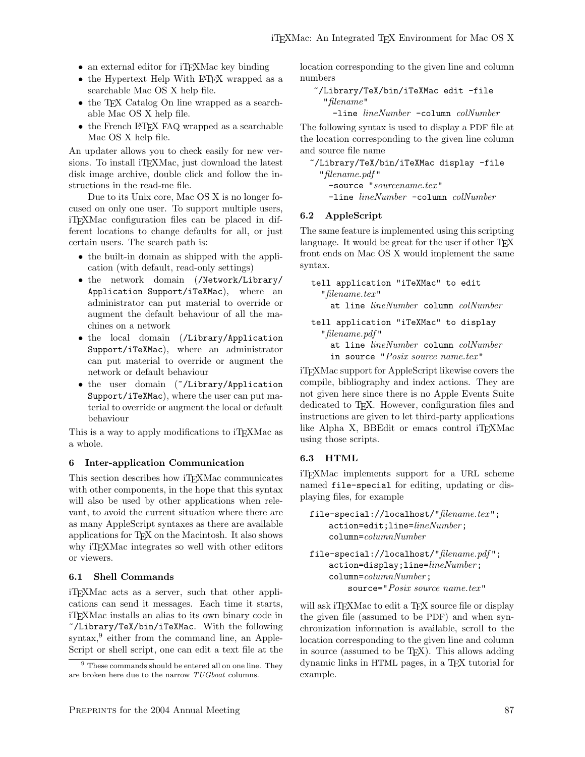- an external editor for iT<sub>E</sub>XMac key binding
- the Hypertext Help With L<sup>AT</sup>FX wrapped as a searchable Mac OS X help file.
- the TFX Catalog On line wrapped as a searchable Mac OS X help file.
- the French LAT<sub>EX</sub> FAQ wrapped as a searchable Mac OS X help file.

An updater allows you to check easily for new versions. To install iTEXMac, just download the latest disk image archive, double click and follow the instructions in the read-me file.

Due to its Unix core, Mac OS X is no longer focused on only one user. To support multiple users, iTEXMac configuration files can be placed in different locations to change defaults for all, or just certain users. The search path is:

- the built-in domain as shipped with the application (with default, read-only settings)
- the network domain (/Network/Library/ Application Support/iTeXMac), where an administrator can put material to override or augment the default behaviour of all the machines on a network
- the local domain (/Library/Application Support/iTeXMac), where an administrator can put material to override or augment the network or default behaviour
- the user domain (~/Library/Application Support/iTeXMac), where the user can put material to override or augment the local or default behaviour

This is a way to apply modifications to iT<sub>EX</sub>Mac as a whole.

### 6 Inter-application Communication

This section describes how iTEXMac communicates with other components, in the hope that this syntax will also be used by other applications when relevant, to avoid the current situation where there are as many AppleScript syntaxes as there are available applications for TEX on the Macintosh. It also shows why iT<sub>E</sub>XMac integrates so well with other editors or viewers.

#### 6.1 Shell Commands

iTEXMac acts as a server, such that other applications can send it messages. Each time it starts, iTEXMac installs an alias to its own binary code in ~/Library/TeX/bin/iTeXMac. With the following syntax,<sup>9</sup> either from the command line, an Apple-Script or shell script, one can edit a text file at the

location corresponding to the given line and column numbers

~/Library/TeX/bin/iTeXMac edit -file "filename"

-line lineNumber -column colNumber

The following syntax is used to display a PDF file at the location corresponding to the given line column and source file name

~/Library/TeX/bin/iTeXMac display -file "filename.pdf " -source "sourcename.tex"  $-line Number$  -column  $collNumber$ 

#### 6.2 AppleScript

The same feature is implemented using this scripting language. It would be great for the user if other T<sub>E</sub>X front ends on Mac OS X would implement the same syntax.

tell application "iTeXMac" to edit "filename.tex" at line lineNumber column colNumber tell application "iTeXMac" to display "filename.pdf "

at line lineNumber column colNumber in source "Posix source name.tex"

iTEXMac support for AppleScript likewise covers the compile, bibliography and index actions. They are not given here since there is no Apple Events Suite dedicated to TEX. However, configuration files and instructions are given to let third-party applications like Alpha X, BBEdit or emacs control iTFXMac using those scripts.

#### 6.3 HTML

iTEXMac implements support for a URL scheme named file-special for editing, updating or displaying files, for example

```
file-special://localhost/"filename.tex";
 action=edit;line=lineNumber;
 \verb|column=columnNumber|
```

```
file-special://localhost/"filename.pdf";
action=display; line=lineNumber;
 column=columnNumber;
    source="Posix source name.tex"
```
will ask iT<sub>E</sub>XMac to edit a T<sub>E</sub>X source file or display the given file (assumed to be PDF) and when synchronization information is available, scroll to the location corresponding to the given line and column in source (assumed to be TEX). This allows adding dynamic links in HTML pages, in a TEX tutorial for example.

<sup>&</sup>lt;sup>9</sup> These commands should be entered all on one line. They are broken here due to the narrow TUGboat columns.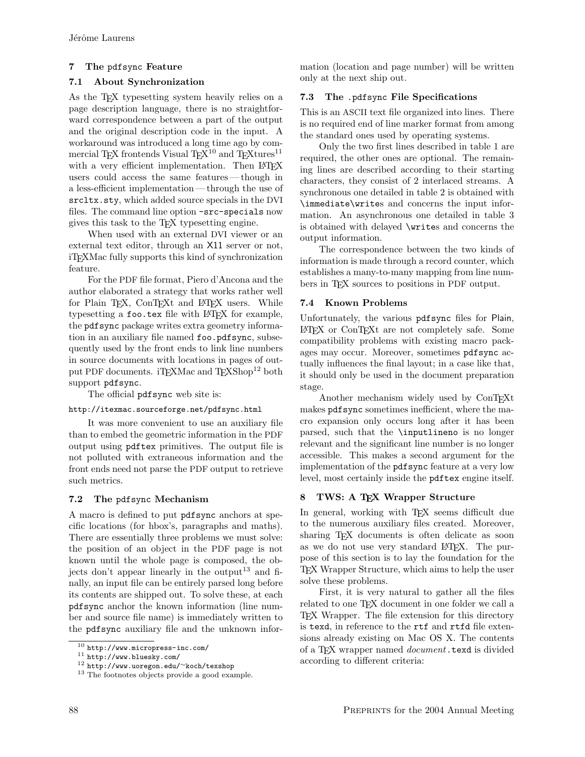## 7 The pdfsync Feature

## 7.1 About Synchronization

As the T<sub>EX</sub> typesetting system heavily relies on a page description language, there is no straightforward correspondence between a part of the output and the original description code in the input. A workaround was introduced a long time ago by commercial T<sub>E</sub>X frontends Visual T<sub>E</sub>X<sup>10</sup> and T<sub>E</sub>X<sub>tures</sub><sup>11</sup> with a very efficient implementation. Then LATFX users could access the same features — though in a less-efficient implementation— through the use of srcltx.sty, which added source specials in the DVI files. The command line option -src-specials now gives this task to the TEX typesetting engine.

When used with an external DVI viewer or an external text editor, through an X11 server or not, iTEXMac fully supports this kind of synchronization feature.

For the PDF file format, Piero d'Ancona and the author elaborated a strategy that works rather well for Plain TEX, ConTEXt and LATEX users. While typesetting a foo.tex file with LATEX for example, the pdfsync package writes extra geometry information in an auxiliary file named foo.pdfsync, subsequently used by the front ends to link line numbers in source documents with locations in pages of output PDF documents. iTEXMac and TEXShop<sup>12</sup> both support pdfsync.

The official pdfsync web site is:

### http://itexmac.sourceforge.net/pdfsync.html

It was more convenient to use an auxiliary file than to embed the geometric information in the PDF output using pdftex primitives. The output file is not polluted with extraneous information and the front ends need not parse the PDF output to retrieve such metrics.

### 7.2 The pdfsync Mechanism

A macro is defined to put pdfsync anchors at specific locations (for hbox's, paragraphs and maths). There are essentially three problems we must solve: the position of an object in the PDF page is not known until the whole page is composed, the objects don't appear linearly in the output<sup>13</sup> and finally, an input file can be entirely parsed long before its contents are shipped out. To solve these, at each pdfsync anchor the known information (line number and source file name) is immediately written to the pdfsync auxiliary file and the unknown information (location and page number) will be written only at the next ship out.

## 7.3 The .pdfsync File Specifications

This is an ASCII text file organized into lines. There is no required end of line marker format from among the standard ones used by operating systems.

Only the two first lines described in table 1 are required, the other ones are optional. The remaining lines are described according to their starting characters, they consist of 2 interlaced streams. A synchronous one detailed in table 2 is obtained with \immediate\writes and concerns the input information. An asynchronous one detailed in table 3 is obtained with delayed \writes and concerns the output information.

The correspondence between the two kinds of information is made through a record counter, which establishes a many-to-many mapping from line numbers in T<sub>F</sub>X sources to positions in PDF output.

## 7.4 Known Problems

Unfortunately, the various pdfsync files for Plain, LATEX or ConTEXt are not completely safe. Some compatibility problems with existing macro packages may occur. Moreover, sometimes pdfsync actually influences the final layout; in a case like that, it should only be used in the document preparation stage.

Another mechanism widely used by ConTEXt makes pdfsync sometimes inefficient, where the macro expansion only occurs long after it has been parsed, such that the \inputlineno is no longer relevant and the significant line number is no longer accessible. This makes a second argument for the implementation of the pdfsync feature at a very low level, most certainly inside the pdftex engine itself.

# 8 TWS: A TEX Wrapper Structure

In general, working with T<sub>E</sub>X seems difficult due to the numerous auxiliary files created. Moreover, sharing T<sub>EX</sub> documents is often delicate as soon as we do not use very standard LATEX. The purpose of this section is to lay the foundation for the TEX Wrapper Structure, which aims to help the user solve these problems.

First, it is very natural to gather all the files related to one TEX document in one folder we call a TEX Wrapper. The file extension for this directory is texd, in reference to the rtf and rtfd file extensions already existing on Mac OS X. The contents of a T<sub>EX</sub> wrapper named *document*.texd is divided according to different criteria:

 $^{10}$ http://www.micropress-inc.com/

<sup>11</sup> http://www.bluesky.com/

<sup>12</sup> http://www.uoregon.edu/∼koch/texshop

<sup>13</sup> The footnotes objects provide a good example.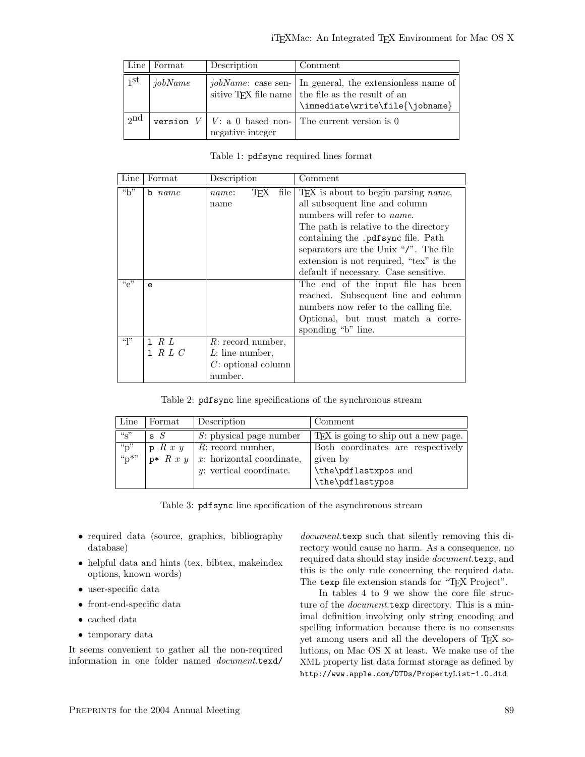|                 | Line   Format | Description      | Comment                                                                                                                                                         |
|-----------------|---------------|------------------|-----------------------------------------------------------------------------------------------------------------------------------------------------------------|
| 1 <sup>st</sup> | jobName       |                  | $jobName:$ case sen- In general, the extensionless name of<br>sitive T <sub>F</sub> X file name the file as the result of an<br>\immediate\write\file{\jobname} |
| 2 <sub>nd</sub> |               | negative integer | version $V   V: a 0$ based non- The current version is 0                                                                                                        |

Table 1: pdfsync required lines format

| Line                      | Format          | Description          | Comment                                                  |
|---------------------------|-----------------|----------------------|----------------------------------------------------------|
| $\mathbf{a}_{\mathbf{b}}$ | $b$ <i>name</i> | TFX<br>file<br>name: | T <sub>F</sub> X is about to begin parsing <i>name</i> , |
|                           |                 | name                 | all subsequent line and column                           |
|                           |                 |                      | numbers will refer to <i>name</i> .                      |
|                           |                 |                      | The path is relative to the directory                    |
|                           |                 |                      | containing the .pdfsync file. Path                       |
|                           |                 |                      | separators are the Unix " $\prime$ ". The file           |
|                           |                 |                      | extension is not required, "tex" is the                  |
|                           |                 |                      | default if necessary. Case sensitive.                    |
| ``e"                      | e               |                      | The end of the input file has been                       |
|                           |                 |                      | reached. Subsequent line and column                      |
|                           |                 |                      | numbers now refer to the calling file.                   |
|                           |                 |                      | Optional, but must match a corre-                        |
|                           |                 |                      | sponding "b" line.                                       |
| $\overline{``1"}$         | 1 R L           | $R:$ record number,  |                                                          |
|                           | 1 R L C         | $L:$ line number,    |                                                          |
|                           |                 | $C:$ optional column |                                                          |
|                           |                 | number.              |                                                          |

Table 2: pdfsync line specifications of the synchronous stream

| Line                            | Format      | Description                              | Comment                                           |  |
|---------------------------------|-------------|------------------------------------------|---------------------------------------------------|--|
| $(\mathcal{L}_{\mathbf{S}})$    | s S         | $S$ : physical page number               | T <sub>F</sub> X is going to ship out a new page. |  |
| $\alpha_{\rm p}$                |             | $\mathfrak{p}$ R x y   R: record number, | Both coordinates are respectively                 |  |
| $\mu_{\mathbf{D}}^{\mathbf{X}}$ | $p * R x y$ | $x:$ horizontal coordinate,              | given by                                          |  |
|                                 |             | $y$ : vertical coordinate.               | \the\pdflastxpos and                              |  |
|                                 |             |                                          | \the\pdflastypos                                  |  |

Table 3: pdfsync line specification of the asynchronous stream

- required data (source, graphics, bibliography database)
- helpful data and hints (tex, bibtex, makeindex options, known words)
- user-specific data
- front-end-specific data
- $\bullet\,$  cached data
- temporary data

It seems convenient to gather all the non-required information in one folder named document.texd/

document.texp such that silently removing this directory would cause no harm. As a consequence, no required data should stay inside *document*.texp, and this is the only rule concerning the required data. The texp file extension stands for "TEX Project".

In tables 4 to 9 we show the core file structure of the *document*.texp directory. This is a minimal definition involving only string encoding and spelling information because there is no consensus yet among users and all the developers of TEX solutions, on Mac OS X at least. We make use of the XML property list data format storage as defined by http://www.apple.com/DTDs/PropertyList-1.0.dtd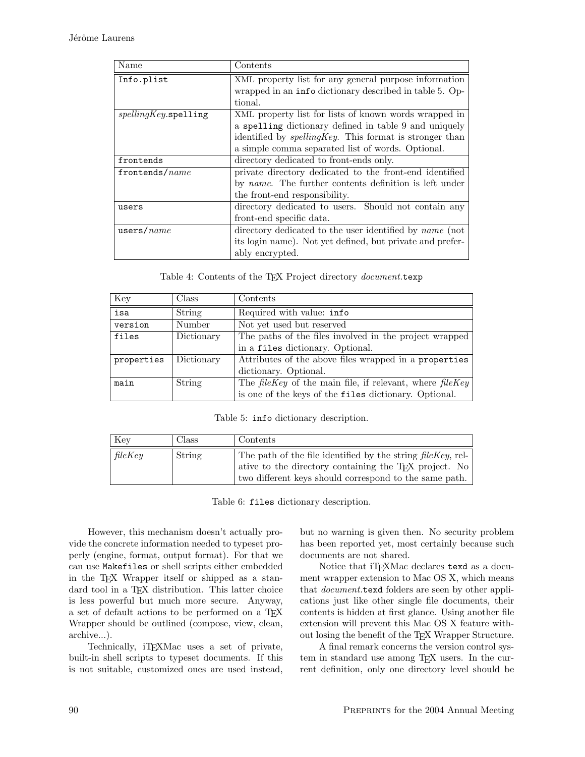| Name                            | Contents                                                       |  |
|---------------------------------|----------------------------------------------------------------|--|
| Info.plist                      | XML property list for any general purpose information          |  |
|                                 | wrapped in an info dictionary described in table 5. Op-        |  |
|                                 | tional.                                                        |  |
| $spellingKey.\texttt{spelling}$ | XML property list for lists of known words wrapped in          |  |
|                                 | a spelling dictionary defined in table 9 and uniquely          |  |
|                                 | identified by $spellingKey$ . This format is stronger than     |  |
|                                 | a simple comma separated list of words. Optional.              |  |
| frontends                       | directory dedicated to front-ends only.                        |  |
| frontends/ $name$               | private directory dedicated to the front-end identified        |  |
|                                 | by <i>name</i> . The further contents definition is left under |  |
|                                 | the front-end responsibility.                                  |  |
| users                           | directory dedicated to users. Should not contain any           |  |
|                                 | front-end specific data.                                       |  |
| users/ $name$                   | directory dedicated to the user identified by <i>name</i> (not |  |
|                                 | its login name). Not yet defined, but private and prefer-      |  |
|                                 | ably encrypted.                                                |  |

Table 4: Contents of the TEX Project directory *document*.texp

| Key                     | Class      | Contents                                                     |  |
|-------------------------|------------|--------------------------------------------------------------|--|
| $\overline{\text{isa}}$ | String     | Required with value: info                                    |  |
| version                 | Number     | Not yet used but reserved                                    |  |
| files                   | Dictionary | The paths of the files involved in the project wrapped       |  |
|                         |            | in a files dictionary. Optional.                             |  |
| properties              | Dictionary | Attributes of the above files wrapped in a properties        |  |
|                         |            | dictionary. Optional.                                        |  |
| main                    | String     | The $fileKey$ of the main file, if relevant, where $fileKey$ |  |
|                         |            | is one of the keys of the files dictionary. Optional.        |  |

Table 5: info dictionary description.

| Key             | Class  | Contents                                                                                                                                                                          |
|-----------------|--------|-----------------------------------------------------------------------------------------------------------------------------------------------------------------------------------|
| $\vert$ fileKey | String | The path of the file identified by the string $fileKey$ , rel-<br>ative to the directory containing the TEX project. No<br>two different keys should correspond to the same path. |

Table 6: files dictionary description.

However, this mechanism doesn't actually provide the concrete information needed to typeset properly (engine, format, output format). For that we can use Makefiles or shell scripts either embedded in the TEX Wrapper itself or shipped as a standard tool in a TFX distribution. This latter choice is less powerful but much more secure. Anyway, a set of default actions to be performed on a T<sub>E</sub>X Wrapper should be outlined (compose, view, clean, archive...).

Technically, iTEXMac uses a set of private, built-in shell scripts to typeset documents. If this is not suitable, customized ones are used instead,

but no warning is given then. No security problem has been reported yet, most certainly because such documents are not shared.

Notice that iTEXMac declares texd as a document wrapper extension to Mac OS X, which means that *document*.texd folders are seen by other applications just like other single file documents, their contents is hidden at first glance. Using another file extension will prevent this Mac OS X feature without losing the benefit of the TEX Wrapper Structure.

A final remark concerns the version control system in standard use among TEX users. In the current definition, only one directory level should be